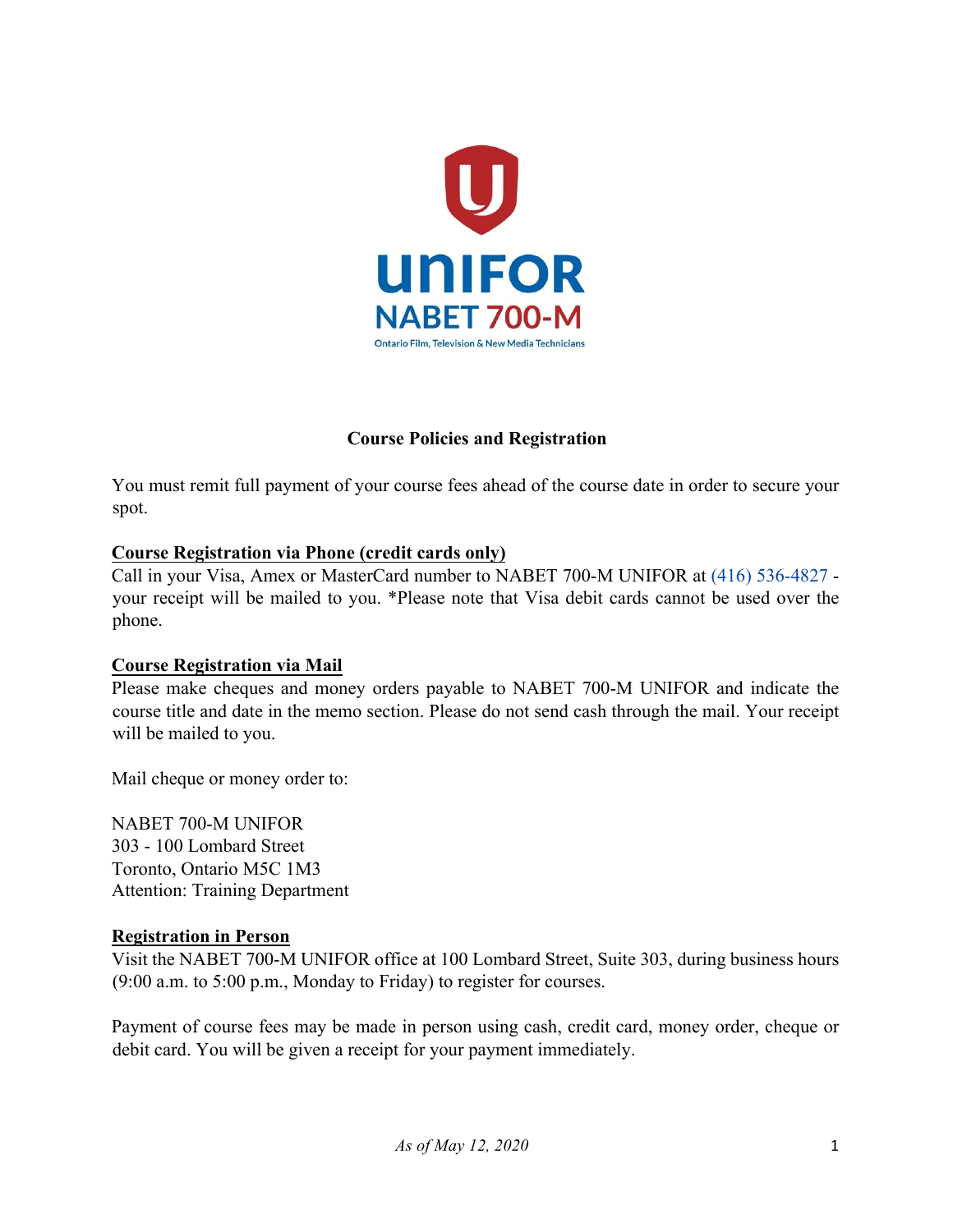

## **Course Policies and Registration**

You must remit full payment of your course fees ahead of the course date in order to secure your spot.

#### **Course Registration via Phone (credit cards only)**

Call in your Visa, Amex or MasterCard number to NABET 700-M UNIFOR at (416) 536-4827 your receipt will be mailed to you. \*Please note that Visa debit cards cannot be used over the phone.

#### **Course Registration via Mail**

Please make cheques and money orders payable to NABET 700-M UNIFOR and indicate the course title and date in the memo section. Please do not send cash through the mail. Your receipt will be mailed to you.

Mail cheque or money order to:

NABET 700-M UNIFOR 303 - 100 Lombard Street Toronto, Ontario M5C 1M3 Attention: Training Department

#### **Registration in Person**

Visit the NABET 700-M UNIFOR office at 100 Lombard Street, Suite 303, during business hours (9:00 a.m. to 5:00 p.m., Monday to Friday) to register for courses.

Payment of course fees may be made in person using cash, credit card, money order, cheque or debit card. You will be given a receipt for your payment immediately.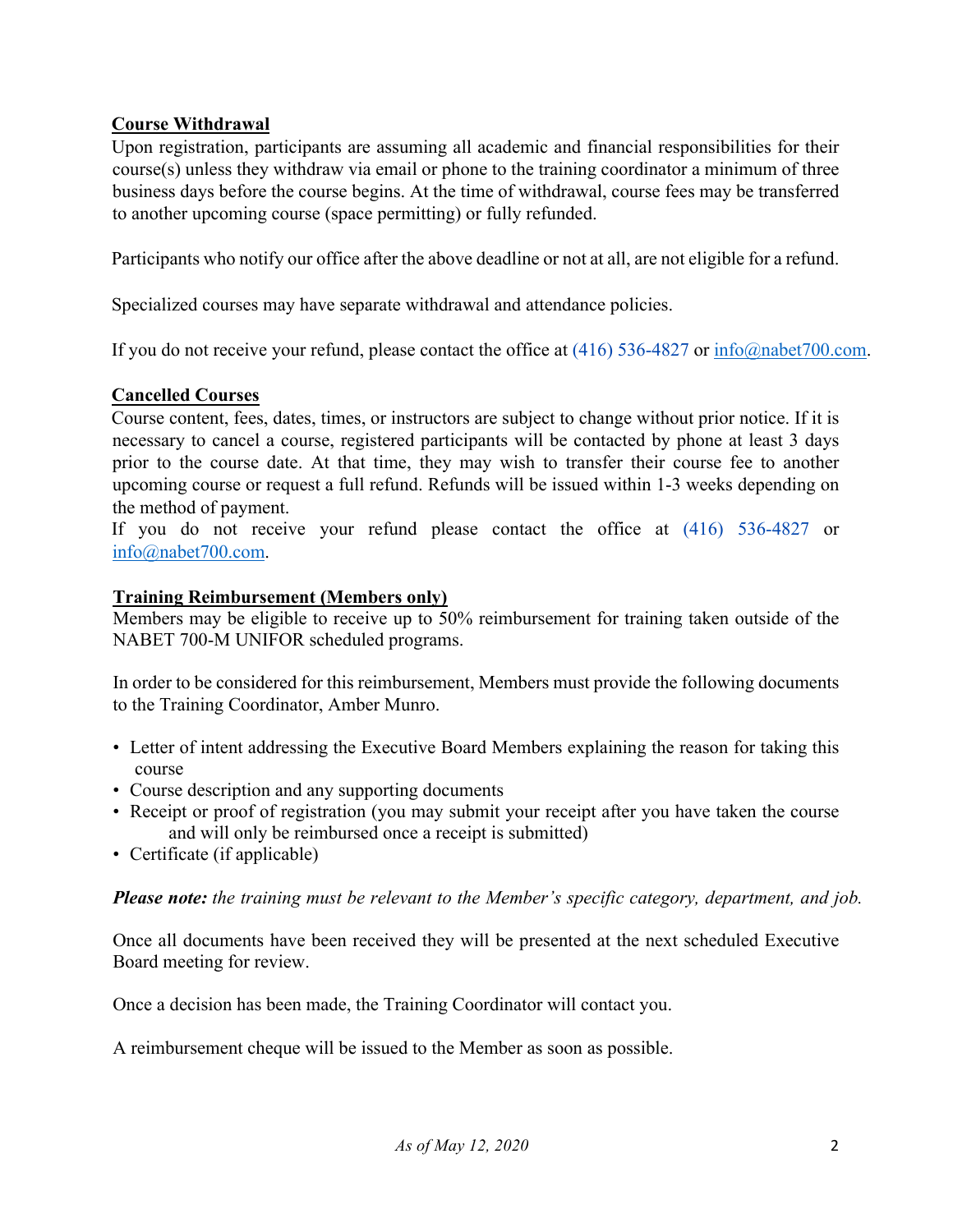## **Course Withdrawal**

Upon registration, participants are assuming all academic and financial responsibilities for their course(s) unless they withdraw via email or phone to the training coordinator a minimum of three business days before the course begins. At the time of withdrawal, course fees may be transferred to another upcoming course (space permitting) or fully refunded.

Participants who notify our office after the above deadline or not at all, are not eligible for a refund.

Specialized courses may have separate withdrawal and attendance policies.

If you do not receive your refund, please contact the office at (416) 536-4827 or info@nabet700.com.

### **Cancelled Courses**

Course content, fees, dates, times, or instructors are subject to change without prior notice. If it is necessary to cancel a course, registered participants will be contacted by phone at least 3 days prior to the course date. At that time, they may wish to transfer their course fee to another upcoming course or request a full refund. Refunds will be issued within 1-3 weeks depending on the method of payment.

If you do not receive your refund please contact the office at (416) 536-4827 or info@nabet700.com.

# **Training Reimbursement (Members only)**

Members may be eligible to receive up to 50% reimbursement for training taken outside of the NABET 700-M UNIFOR scheduled programs.

In order to be considered for this reimbursement, Members must provide the following documents to the Training Coordinator, Amber Munro.

- Letter of intent addressing the Executive Board Members explaining the reason for taking this course
- Course description and any supporting documents
- Receipt or proof of registration (you may submit your receipt after you have taken the course and will only be reimbursed once a receipt is submitted)
- Certificate (if applicable)

*Please note: the training must be relevant to the Member's specific category, department, and job.*

Once all documents have been received they will be presented at the next scheduled Executive Board meeting for review.

Once a decision has been made, the Training Coordinator will contact you.

A reimbursement cheque will be issued to the Member as soon as possible.